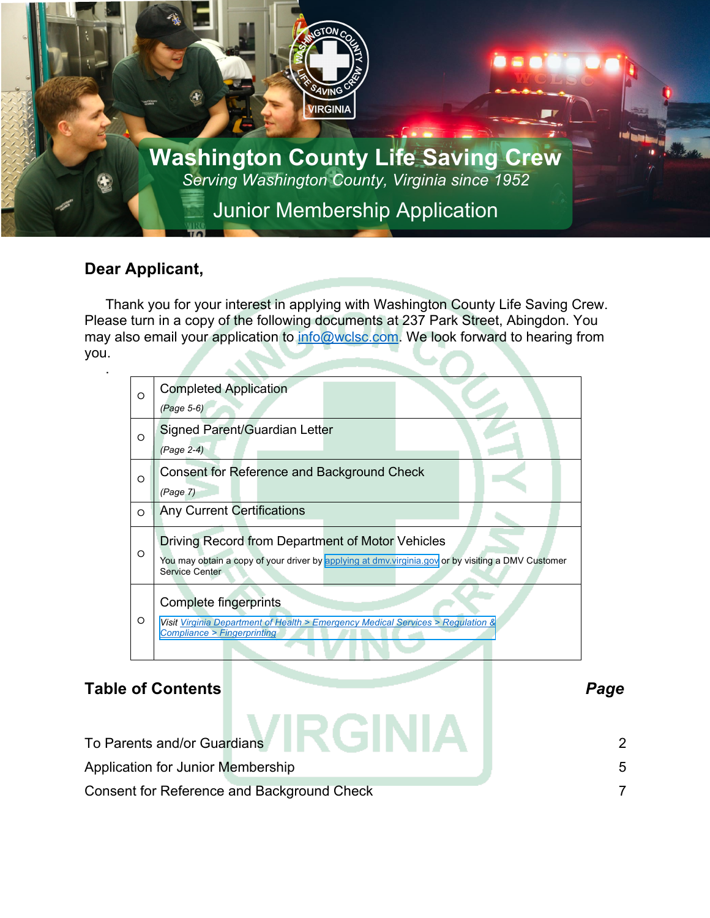

### **Dear Applicant,**

.

Thank you for your interest in applying with Washington County Life Saving Crew. Please turn in a copy of the following documents at 237 Park Street, Abingdon. You may also email your application to info@wclsc.com. We look forward to hearing from you.

| O       | <b>Completed Application</b>                                                                                                 |  |  |  |
|---------|------------------------------------------------------------------------------------------------------------------------------|--|--|--|
|         | (Page 5-6)                                                                                                                   |  |  |  |
| O       | Signed Parent/Guardian Letter                                                                                                |  |  |  |
|         | (Page 2-4)                                                                                                                   |  |  |  |
| O       | Consent for Reference and Background Check                                                                                   |  |  |  |
|         | (Page 7)                                                                                                                     |  |  |  |
| O       | <b>Any Current Certifications</b>                                                                                            |  |  |  |
|         | Driving Record from Department of Motor Vehicles                                                                             |  |  |  |
| $\circ$ | You may obtain a copy of your driver by applying at dmv. virginia.gov or by visiting a DMV Customer<br><b>Service Center</b> |  |  |  |
|         | Complete fingerprints                                                                                                        |  |  |  |
| $\circ$ | Visit Virginia Department of Health > Emergency Medical Services > Regulation &<br><b>Compliance &gt; Fingerprinting</b>     |  |  |  |

### **Table of Contents** *Page*

| To Parents and/or Guardians <b>AND AND AND A</b>  |        |
|---------------------------------------------------|--------|
| Application for Junior Membership                 | $\sim$ |
| <b>Consent for Reference and Background Check</b> |        |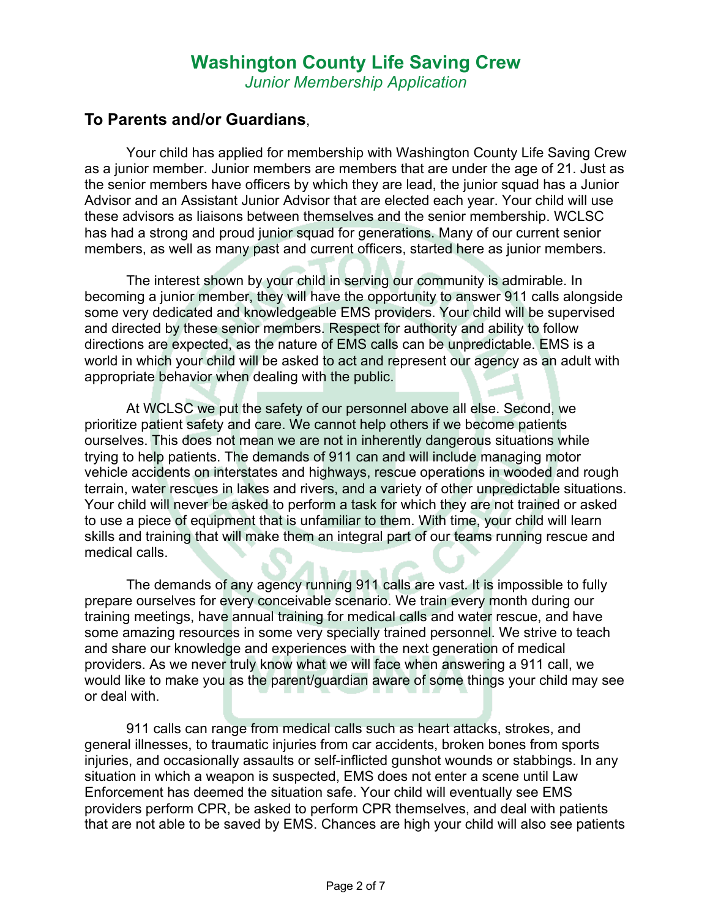*Junior Membership Application*

### **To Parents and/or Guardians**,

Your child has applied for membership with Washington County Life Saving Crew as a junior member. Junior members are members that are under the age of 21. Just as the senior members have officers by which they are lead, the junior squad has a Junior Advisor and an Assistant Junior Advisor that are elected each year. Your child will use these advisors as liaisons between themselves and the senior membership. WCLSC has had a strong and proud junior squad for generations. Many of our current senior members, as well as many past and current officers, started here as junior members.

The interest shown by your child in serving our community is admirable. In becoming a junior member, they will have the opportunity to answer 911 calls alongside some very dedicated and knowledgeable EMS providers. Your child will be supervised and directed by these senior members. Respect for authority and ability to follow directions are expected, as the nature of EMS calls can be unpredictable. EMS is a world in which your child will be asked to act and represent our agency as an adult with appropriate behavior when dealing with the public.

At WCLSC we put the safety of our personnel above all else. Second, we prioritize patient safety and care. We cannot help others if we become patients ourselves. This does not mean we are not in inherently dangerous situations while trying to help patients. The demands of 911 can and will include managing motor vehicle accidents on interstates and highways, rescue operations in wooded and rough terrain, water rescues in lakes and rivers, and a variety of other unpredictable situations. Your child will never be asked to perform a task for which they are not trained or asked to use a piece of equipment that is unfamiliar to them. With time, your child will learn skills and training that will make them an integral part of our teams running rescue and medical calls.

The demands of any agency running 911 calls are vast. It is impossible to fully prepare ourselves for every conceivable scenario. We train every month during our training meetings, have annual training for medical calls and water rescue, and have some amazing resources in some very specially trained personnel. We strive to teach and share our knowledge and experiences with the next generation of medical providers. As we never truly know what we will face when answering a 911 call, we would like to make you as the parent/guardian aware of some things your child may see or deal with.

911 calls can range from medical calls such as heart attacks, strokes, and general illnesses, to traumatic injuries from car accidents, broken bones from sports injuries, and occasionally assaults or self-inflicted gunshot wounds or stabbings. In any situation in which a weapon is suspected, EMS does not enter a scene until Law Enforcement has deemed the situation safe. Your child will eventually see EMS providers perform CPR, be asked to perform CPR themselves, and deal with patients that are not able to be saved by EMS. Chances are high your child will also see patients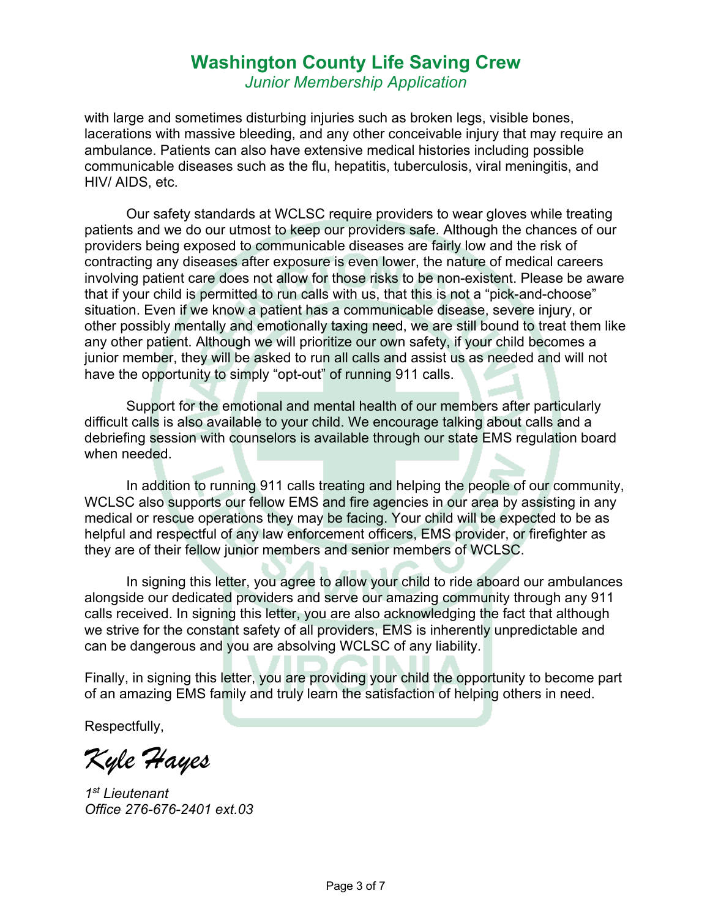*Junior Membership Application*

with large and sometimes disturbing injuries such as broken legs, visible bones, lacerations with massive bleeding, and any other conceivable injury that may require an ambulance. Patients can also have extensive medical histories including possible communicable diseases such as the flu, hepatitis, tuberculosis, viral meningitis, and HIV/ AIDS, etc.

Our safety standards at WCLSC require providers to wear gloves while treating patients and we do our utmost to keep our providers safe. Although the chances of our providers being exposed to communicable diseases are fairly low and the risk of contracting any diseases after exposure is even lower, the nature of medical careers involving patient care does not allow for those risks to be non-existent. Please be aware that if your child is permitted to run calls with us, that this is not a "pick-and-choose" situation. Even if we know a patient has a communicable disease, severe injury, or other possibly mentally and emotionally taxing need, we are still bound to treat them like any other patient. Although we will prioritize our own safety, if your child becomes a junior member, they will be asked to run all calls and assist us as needed and will not have the opportunity to simply "opt-out" of running 911 calls.

Support for the emotional and mental health of our members after particularly difficult calls is also available to your child. We encourage talking about calls and a debriefing session with counselors is available through our state EMS regulation board when needed.

In addition to running 911 calls treating and helping the people of our community, WCLSC also supports our fellow EMS and fire agencies in our area by assisting in any medical or rescue operations they may be facing. Your child will be expected to be as helpful and respectful of any law enforcement officers, EMS provider, or firefighter as they are of their fellow junior members and senior members of WCLSC.

In signing this letter, you agree to allow your child to ride aboard our ambulances alongside our dedicated providers and serve our amazing community through any 911 calls received. In signing this letter, you are also acknowledging the fact that although we strive for the constant safety of all providers, EMS is inherently unpredictable and can be dangerous and you are absolving WCLSC of any liability.

Finally, in signing this letter, you are providing your child the opportunity to become part of an amazing EMS family and truly learn the satisfaction of helping others in need.

Respectfully,

*Kyle Hayes*

*1st Lieutenant Office 276-676-2401 ext.03*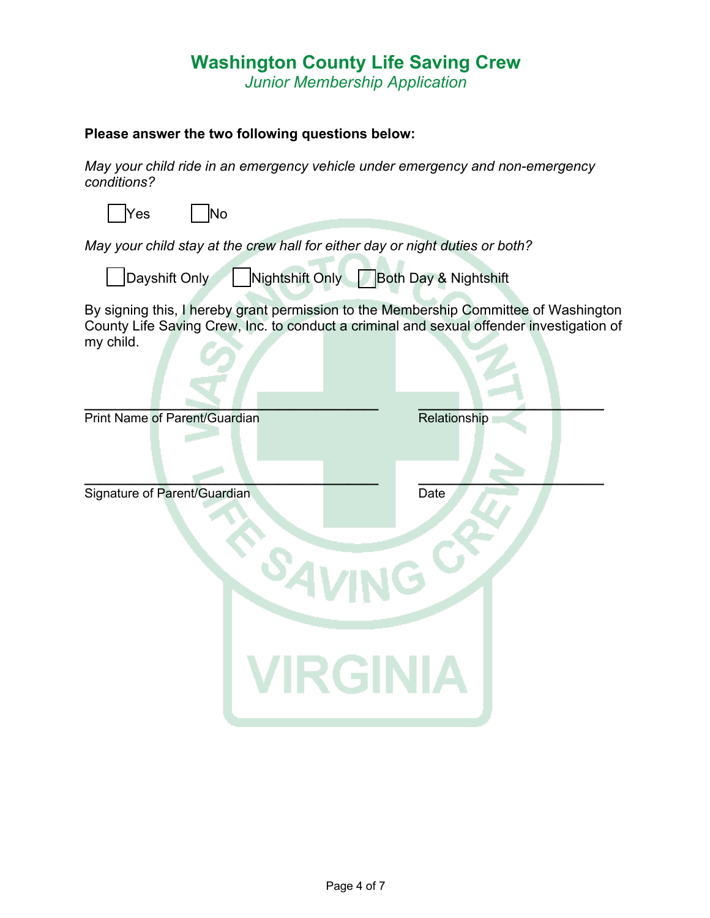*Junior Membership Application*

#### **Please answer the two following questions below:**

*May your child ride in an emergency vehicle under emergency and non-emergency conditions?*

| <b>Yes</b> |  | lNo |
|------------|--|-----|
|            |  |     |

*May your child stay at the crew hall for either day or night duties or both?*  $\mathbf{r}$ 

| ∣Dayshift Only∕ | Nightshift Only | Both Day & Nightshift |
|-----------------|-----------------|-----------------------|
|                 |                 |                       |

By signing this, I hereby grant permission to the Membership Committee of Washington County Life Saving Crew, Inc. to conduct a criminal and sexual offender investigation of my child.

| Print Name of Parent/Guardian                                         | Relationship |
|-----------------------------------------------------------------------|--------------|
| Signature of Parent/Guardian<br><sup>S</sup> AVING<br><b>VIRGINIA</b> | Date         |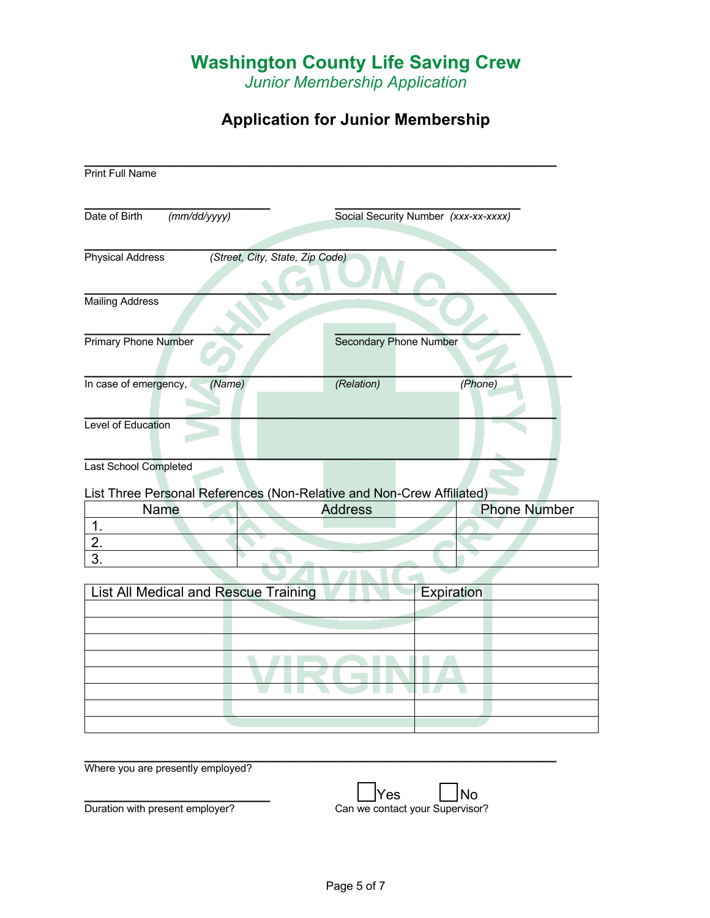*Junior Membership Application*

# **Application for Junior Membership**

| Date of Birth<br>(mm/dd/yyyy) |                                                                       | Social Security Number (xxx-xx-xxxx) |            |                     |
|-------------------------------|-----------------------------------------------------------------------|--------------------------------------|------------|---------------------|
| <b>Physical Address</b>       | (Street, City, State, Zip Code)                                       |                                      |            |                     |
| <b>Mailing Address</b>        |                                                                       |                                      |            |                     |
| <b>Primary Phone Number</b>   |                                                                       | <b>Secondary Phone Number</b>        |            |                     |
|                               |                                                                       |                                      |            |                     |
| In case of emergency,         | (Name)                                                                | (Relation)                           |            | (Phone)             |
| Level of Education            |                                                                       |                                      |            |                     |
| Last School Completed         | List Three Personal References (Non-Relative and Non-Crew Affiliated) |                                      |            |                     |
| <b>Name</b>                   |                                                                       | <b>Address</b>                       |            | <b>Phone Number</b> |
| 1.                            |                                                                       |                                      |            |                     |
| 2.                            |                                                                       |                                      |            |                     |
| 3.                            |                                                                       |                                      |            |                     |
|                               |                                                                       |                                      |            |                     |
|                               |                                                                       |                                      |            |                     |
|                               | <b>List All Medical and Rescue Training</b>                           |                                      | Expiration |                     |
|                               |                                                                       |                                      |            |                     |
|                               |                                                                       |                                      |            |                     |
|                               |                                                                       |                                      |            |                     |
|                               |                                                                       |                                      |            |                     |
|                               |                                                                       |                                      |            |                     |
|                               |                                                                       |                                      |            |                     |
|                               |                                                                       |                                      |            |                     |
|                               |                                                                       |                                      |            |                     |

**\_\_\_\_\_\_\_\_\_\_\_\_\_\_\_\_\_\_\_\_\_\_\_\_** Yes No Duration with present employer?<br>
Can we contact your Supervisor?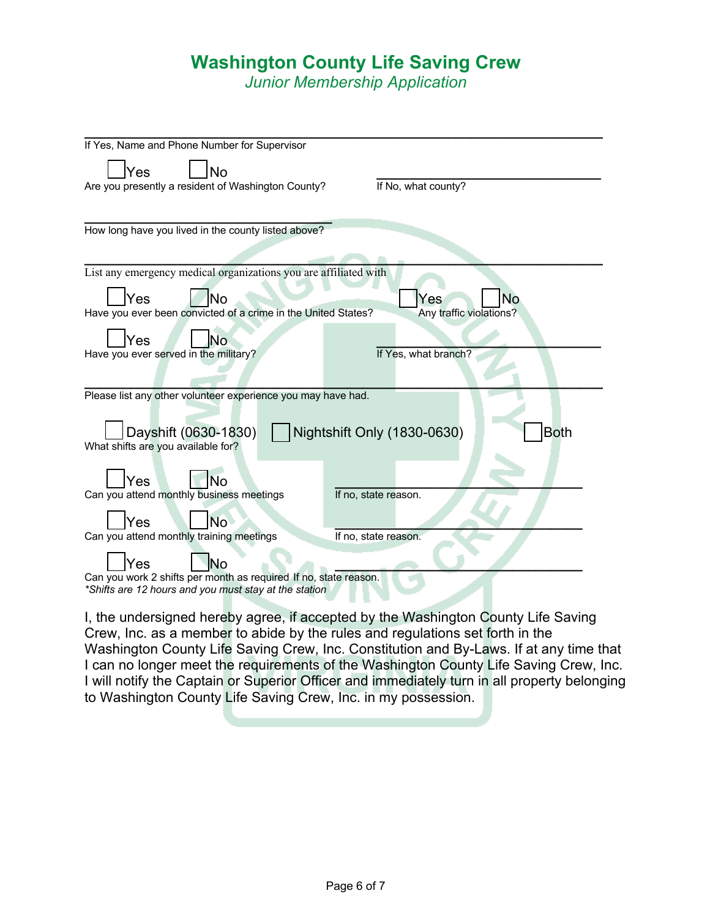*Junior Membership Application*

| If Yes, Name and Phone Number for Supervisor                     |                                            |  |  |  |
|------------------------------------------------------------------|--------------------------------------------|--|--|--|
| Yes<br>No                                                        |                                            |  |  |  |
| Are you presently a resident of Washington County?               | If No, what county?                        |  |  |  |
|                                                                  |                                            |  |  |  |
|                                                                  |                                            |  |  |  |
| How long have you lived in the county listed above?              |                                            |  |  |  |
|                                                                  |                                            |  |  |  |
|                                                                  |                                            |  |  |  |
| List any emergency medical organizations you are affiliated with |                                            |  |  |  |
| Yes<br>No                                                        | Yes<br>No                                  |  |  |  |
| Have you ever been convicted of a crime in the United States?    | Any traffic violations?                    |  |  |  |
|                                                                  |                                            |  |  |  |
| Yes<br>No                                                        |                                            |  |  |  |
| Have you ever served in the military?                            | If Yes, what branch?                       |  |  |  |
|                                                                  |                                            |  |  |  |
| Please list any other volunteer experience you may have had.     |                                            |  |  |  |
|                                                                  |                                            |  |  |  |
|                                                                  |                                            |  |  |  |
| Dayshift (0630-1830)                                             | Nightshift Only (1830-0630)<br><b>Both</b> |  |  |  |
| What shifts are you available for?                               |                                            |  |  |  |
|                                                                  |                                            |  |  |  |
| Yes<br>No                                                        |                                            |  |  |  |
| Can you attend monthly business meetings                         | If no, state reason.                       |  |  |  |
|                                                                  |                                            |  |  |  |
| No.<br>Yes<br>Can you attend monthly training meetings           | If no, state reason.                       |  |  |  |
|                                                                  |                                            |  |  |  |
| Yes<br>No                                                        |                                            |  |  |  |
| Can you work 2 shifts per month as required If no, state reason. |                                            |  |  |  |
| *Shifts are 12 hours and you must stay at the station            |                                            |  |  |  |

I, the undersigned hereby agree, if accepted by the Washington County Life Saving Crew, Inc. as a member to abide by the rules and regulations set forth in the Washington County Life Saving Crew, Inc. Constitution and By-Laws. If at any time that I can no longer meet the requirements of the Washington County Life Saving Crew, Inc. I will notify the Captain or Superior Officer and immediately turn in all property belonging to Washington County Life Saving Crew, Inc. in my possession.